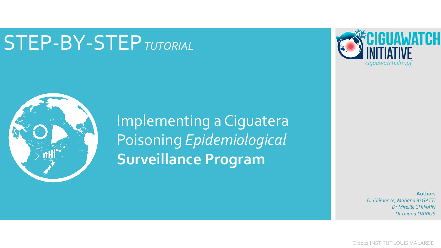# STEP-BY-STEP*TUTORIAL*



Implementing a Ciguatera Poisoning *Epidemiological*  **Surveillance Program**



**Authors** *Dr Clémence, Mahana itiGATTI Dr Mireille CHINAIN Dr Taiana DARIUS*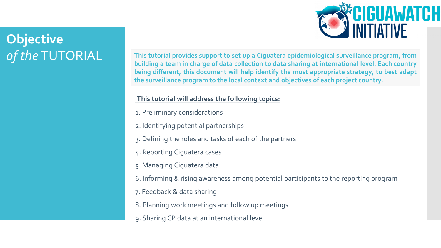# **Objective**



#### **This tutorial will address the following topics:**

- 1. Preliminary considerations
- 2. Identifying potential partnerships
- 3. Defining the roles and tasks of each of the partners
- 4. Reporting Ciguatera cases
- 5. Managing Ciguatera data
- 6. Informing & rising awareness among potential participants to the reporting program
- 7. Feedback & data sharing
- 8. Planning work meetings and follow up meetings
- 9. Sharing CP data at an international level

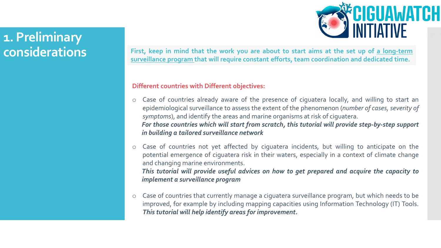# **1. Preliminary**

**CONSIDERTIONS** First, keep in mind that the work you are about to start aims at the set up of a long-term **surveillance program that will require constant efforts, team coordination and dedicated time.**

#### **Different countries with Different objectives:**

- o Case of countries already aware of the presence of ciguatera locally, and willing to start an epidemiological surveillance to assess the extent of the phenomenon (*number of cases, severity of symptoms*), and identify the areas and marine organisms at risk of ciguatera. *For those countries which will start from scratch, this tutorial will provide step-by-step support in building a tailored surveillance network*
- o Case of countries not yet affected by ciguatera incidents, but willing to anticipate on the potential emergence of ciguatera risk in their waters, especially in a context of climate change and changing marine environments. *This tutorial will provide useful advices on how to get prepared and acquire the capacity to implement a surveillance program*
- o Case of countries that currently manage a ciguatera surveillance program, but which needs to be improved, for example by including mapping capacities using Information Technology (IT) Tools. *This tutorial will help identify areas for improvement.*

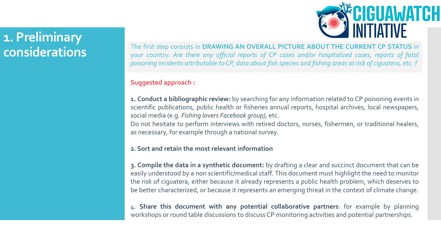# **1. Preliminary considerations**

The first step consists in **DRAWING AN OVERALL PICTURE ABOUT THE CURRENT CP STATUS** in your country: *Are there any official reports of CP cases and/or hospitalized cases, reports of fatal* poisoning incidents attributable to CP, data about fish species and fishing areas at risk of ciguatera, etc. ?

#### **Suggested approach :**

**1. Conduct a bibliographic review:** by searching for any information related to CP poisoning events in scientific publications, public health or fisheries annual reports, hospital archives, local newspapers, social media (e.g. *Fishing lovers Facebook group)*, etc. Do not hesitate to perform interviews with retired doctors, nurses, fishermen, or traditional healers,

as necessary, for example through a national survey.

#### **2. Sort and retain the most relevant information**

**3. Compile the data in a synthetic document:** by drafting a clear and succinct document that can be easily understood by a non scientific/medical staff. This document must highlight the need to monitor the risk of ciguatera, either because it already represents a public health problem, which deserves to be better characterized, or because it represents an emerging threat in the context of climate change.

4. **Share this document with any potential collaborative partners**: for example by planning workshops or round table discussions to discuss CP monitoring activities and potential partnerships.

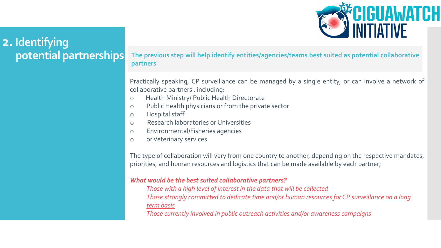

# **2. Identifying potential partnerships**

**The previous step will help identify entities/agencies/teams best suited as potential collaborative partners**

Practically speaking, CP surveillance can be managed by a single entity, or can involve a network of collaborative partners , including:

- o Health Ministry/ Public Health Directorate
- o Public Health physicians or from the private sector
- o Hospital staff
- o Research laboratories or Universities
- o Environmental/Fisheries agencies
- o orVeterinary services.

The type of collaboration will vary from one country to another, depending on the respective mandates, priorities, and human resources and logistics that can be made available by each partner;

#### *What would be the best suited collaborative partners?*

*Those with a high level of interest in the data that will be collected Those strongly committed to dedicate time and/or human resources for CP surveillance on a long term basis*

*Those currently involved in public outreach activities and/or awareness campaigns*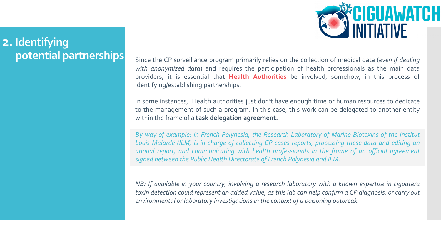*ECIGUAWATCH*<br>2 INITIATIVE

#### **2. Identifying potential partnerships**

Since the CP surveillance program primarily relies on the collection of medical data (*even if dealing with anonymized data*) and requires the participation of health professionals as the main data providers, it is essential that **Health Authorities** be involved, somehow, in this process of identifying/establishing partnerships.

In some instances, Health authorities just don't have enough time or human resources to dedicate to the management of such a program. In this case, this work can be delegated to another entity within the frame of a **task delegation agreement.**

*By way of example: in French Polynesia, the Research Laboratory of Marine Biotoxins of the Institut Louis Malardé (ILM) is in charge of collecting CP cases reports, processing these data and editing an annual report, and communicating with health professionals in the frame of an official agreement signed between the Public Health Directorate of French Polynesia and ILM.*

*NB: If available in your country, involving a research laboratory with a known expertise in ciguatera* toxin detection could represent an added value, as this lab can help confirm a CP diagnosis, or carry out *environmental or laboratory investigations in the context of a poisoning outbreak.*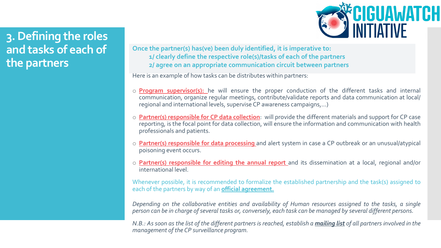

#### **3. Defining the roles and tasks of each of the partners**

**Once the partner(s) has(ve) been duly identified, it is imperative to: 1/ clearly define the respective role(s)/tasks of each of the partners 2/ agree on an appropriate communication circuit between partners**

Here is an example of how tasks can be distributes within partners:

- o **Program supervisor(s):** he will ensure the proper conduction of the different tasks and internal communication, organize regular meetings, contribute/validate reports and data communication at local/ regional and international levels, supervise CP awareness campaigns,…)
- o **Partner(s) responsible for CP data collection**: will provide the different materials and support for CP case reporting, is the focal point for data collection, will ensure the information and communication with health professionals and patients.
- o **Partner(s) responsible for data processing** and alert system in case a CP outbreak or an unusual/atypical poisoning event occurs.
- o **Partner(s) responsible for editing the annual report** and its dissemination at a local, regional and/or international level.

Whenever possible, it is recommended to formalize the established partnership and the task(s) assigned to each of the partners by way of an **official agreement.**

*Depending on the collaborative entities and availability of Human resources assigned to the tasks, a single* person can be in charge of several tasks or, conversely, each task can be managed by several different persons.

N.B.: As soon as the list of the different partners is reached, establish a *mailing list* of all partners involved in the *management of the CP surveillance program.*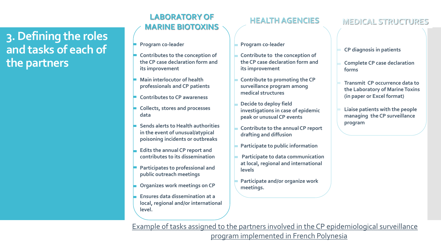#### **3. Defining the roles and tasks of each of the partners**

# **LABORATORY OF HEALTH AGENCIES**<br>MARINE BIOTOXINS

- **Program co-leader**
- **Contributes to the conception of the CP case declaration form and its improvement**
- **Main interlocutor of health professionals and CP patients**
- **Contributes to CP awareness**
- **Collects, stores and processes data**
- **Sends alerts to Health authorities in the event of unusual/atypical poisoning incidents or outbreaks**
- **Edits the annual CP report and contributes to its dissemination**
- **Participates to professional and public outreach meetings**
- **Organizes work meetings on CP**
- **Ensures data dissemination at a local, regional and/or international level.**

- **Program co-leader**
- **Contribute to the conception of the CP case declaration form and its improvement**
- **Contribute to promoting the CP surveillance program among medical structures**
- **Decide to deploy field investigations in case of epidemic peak or unusual CP events**
- **Contribute to the annual CP report drafting and diffusion**
- **Participate to public information**
- **Participate to data communication at local, regional and international levels**
- **Participate and/or organize work meetings.**

#### **MARINE BIOTOXINS MEDICAL STRUCTURES**

- **CP diagnosis in patients**
- **Complete CP case declaration forms**
- **Transmit CP occurrence data to the Laboratory of Marine Toxins (in paper or Excel format)**
- **Liaise patients with the people managing the CP surveillance program**

Example of tasks assigned to the partners involved in the CP epidemiological surveillance program implemented in French Polynesia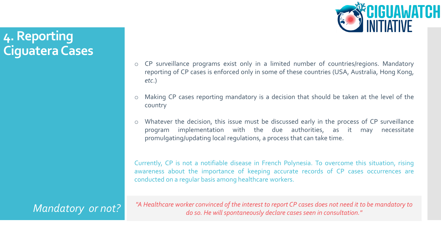

CP surveillance programs exist only in a limited number of countries/regions. Mandatory reporting of CP cases is enforced only in some of these countries (USA, Australia, Hong Kong, *etc*.)

- Making CP cases reporting mandatory is a decision that should be taken at the level of the country
- Whatever the decision, this issue must be discussed early in the process of CP surveillance program implementation with the due authorities, as it may necessitate promulgating/updating local regulations, a process that can take time.

Currently, CP is not a notifiable disease in French Polynesia. To overcome this situation, rising awareness about the importance of keeping accurate records of CP cases occurrences are conducted on a regular basis among healthcare workers.

*"A Healthcare worker convinced of the interest to report CP cases does not need it to be mandatory to Mandatory or not? do so. He will spontaneously declare cases seen in consultation."*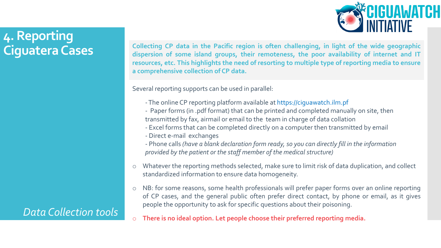

*Data Collection tools*

**Collecting CP data in the Pacific region is often challenging, in light of the wide geographic dispersion of some island groups, their remoteness, the poor availability of internet and IT resources, etc. This highlights the need of resorting to multiple type of reporting media to ensure a comprehensive collection of CP data.**

Several reporting supports can be used in parallel:

- -The online CP reporting platform available at https://ciguawatch.ilm.pf
- Paper forms (in .pdf format) that can be printed and completed manually on site, then transmitted by fax, airmail or email to the team in charge of data collation
- Excel forms that can be completed directly on a computer then transmitted by email
- Direct e-mail exchanges
- Phone calls *(have a blank declaration form ready, so you can directly fill in the information provided by the patient or the staff member of the medical structure)*
- o Whatever the reporting methods selected, make sure to limit risk of data duplication, and collect standardized information to ensure data homogeneity.
- o NB: for some reasons, some health professionals will prefer paper forms over an online reporting of CP cases, and the general public often prefer direct contact, by phone or email, as it gives people the opportunity to ask for specific questions about their poisoning.
- o **There is no ideal option. Let people choose their preferred reporting media.**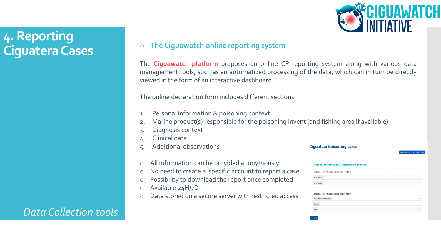

o **The Ciguawatch online reporting system**

The **Ciguawatch platform** proposes an online CP reporting system along with various data management tools, such as an automatized processing of the data, which can in turn be directly viewed in the form of an interactive dashboard.

The online declaration form includes different sections:

- 1. Personal information & poisoning context
- 2. Marine product(s) responsible for the poisoning invent (and fishing area if available)
- Diagnosis context
- 4. Clinical data
- 5. Additional observations
- o All information can be provided anonymously
- o No need to create a specific account to report a case
- Possibility to download the report once completed
- o Available 24H/7D
- Data stored on a secure server with restricted access

|                            |                                                | A Report a case<br><b>Dashboard</b> |              |
|----------------------------|------------------------------------------------|-------------------------------------|--------------|
|                            | 1. Personal information & intoxication context |                                     |              |
|                            | Personal informations and cfp context          |                                     |              |
| Your name                  |                                                |                                     |              |
| Your e-mail                |                                                |                                     |              |
|                            |                                                |                                     |              |
| The intoxicated person is: | Personal informations and cfp context          |                                     | $\checkmark$ |
| Gender                     |                                                |                                     | $\checkmark$ |

Ciguatera Poisoning cases

#### *Data Collection tools*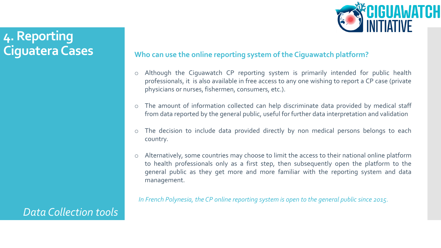# **CIGUAWATCH<br>NITIATIVE**

# **4. Reporting Ciguatera Cases**

**Who can use the online reporting system of the Ciguawatch platform?**

- Although the Ciguawatch CP reporting system is primarily intended for public health professionals, it is also available in free access to any one wishing to report a CP case (private physicians or nurses, fishermen, consumers, etc.).
- The amount of information collected can help discriminate data provided by medical staff from data reported by the general public, useful for further data interpretation and validation
- The decision to include data provided directly by non medical persons belongs to each country.
- Alternatively, some countries may choose to limit the access to their national online platform to health professionals only as a first step, then subsequently open the platform to the general public as they get more and more familiar with the reporting system and data management.

*In French Polynesia, the CP online reporting system is open to the general public since 2015.*

#### *Data Collection tools*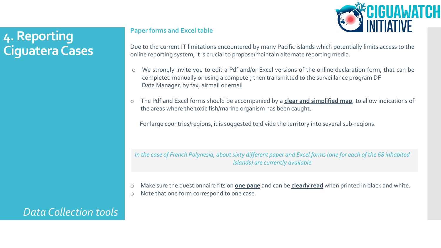

#### **Paper forms and Excel table**

Due to the current IT limitations encountered by many Pacific islands which potentially limits access to the online reporting system, it is crucial to propose/maintain alternate reporting media.

- o We strongly invite you to edit a Pdf and/or Excel versions of the online declaration form, that can be completed manually or using a computer, then transmitted to the surveillance program DF Data Manager, by fax, airmail or email
- o The Pdf and Excel forms should be accompanied by a **clear and simplified map**, to allow indications of the areas where the toxic fish/marine organism has been caught.

For large countries/regions, it is suggested to divide the territory into several sub-regions.

*In the case of French Polynesia, about sixty different paper and Excel forms (one for each of the 68 inhabited islands) are currently available*

- o Make sure the questionnaire fits on **one page** and can be **clearly read** when printed in black and white.
- o Note that one form correspond to one case.

#### *Data Collection tools*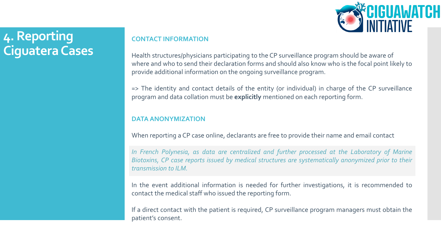

#### **CONTACT INFORMATION**

Health structures/physicians participating to the CP surveillance program should be aware of where and who to send their declaration forms and should also know who is the focal point likely to provide additional information on the ongoing surveillance program.

=> The identity and contact details of the entity (or individual) in charge of the CP surveillance program and data collation must be **explicitly** mentioned on each reporting form.

#### **DATA ANONYMIZATION**

When reporting a CP case online, declarants are free to provide their name and email contact

*In French Polynesia, as data are centralized and further processed at the Laboratory of Marine Biotoxins, CP case reports issued by medical structures are systematically anonymized prior to their transmission to ILM.*

In the event additional information is needed for further investigations, it is recommended to contact the medical staff who issued the reporting form.

If a direct contact with the patient is required, CP surveillance program managers must obtain the patient's consent.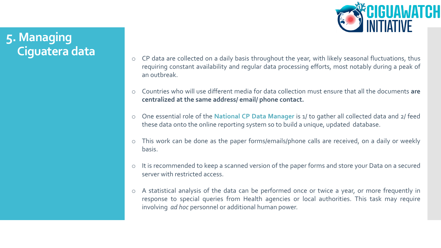

# **5. Managing Ciguatera data**

- o CP data are collected on a daily basis throughout the year, with likely seasonal fluctuations, thus requiring constant availability and regular data processing efforts, most notably during a peak of an outbreak.
- o Countries who will use different media for data collection must ensure that all the documents **are centralized at the same address/ email/ phone contact.**
- o One essential role of the **National CP Data Manager** is 1/ to gather all collected data and 2/ feed these data onto the online reporting system so to build a unique, updated database.
- o This work can be done as the paper forms/emails/phone calls are received, on a daily or weekly basis.
- o It is recommended to keep a scanned version of the paper forms and store your Data on a secured server with restricted access.
- o A statistical analysis of the data can be performed once or twice a year, or more frequently in response to special queries from Health agencies or local authorities. This task may require involving *ad hoc* personnel or additional human power.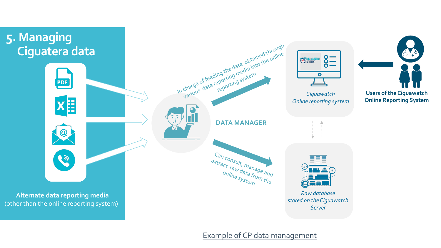

Example of CP data management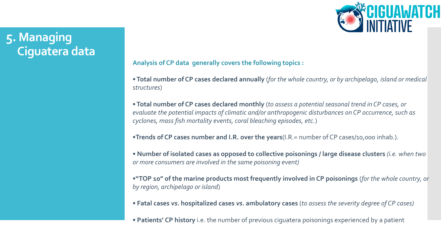

# **5. Managing Ciguatera data**

**Analysis of CP data generally covers the following topics :**

•**Total number of CP cases declared annually** (*for the whole country, or by archipelago, island or medical structures*)

•**Total number of CP cases declared monthly** (*to assess a potential seasonal trend in CP cases, or evaluate the potential impacts of climatic and/or anthropogenic disturbances on CP occurrence, such as cyclones, mass fish mortality events, coral bleaching episodes, etc.*)

•**Trends of CP cases number and I.R. over the years**(I.R.= number of CP cases/10,000 inhab.).

• **Number of isolated cases as opposed to collective poisonings / large disease clusters** *(i.e. when two or more consumers are involved in the same poisoning event)*

•**"TOP 10" of the marine products most frequently involved in CP poisonings** (*for the whole country, or by region, archipelago or island*)

- **Fatal cases** *vs.* **hospitalized cases** *vs.* **ambulatory cases** (*to assess the severity degree of CP cases)*
- **Patients' CP history** i.e. the number of previous ciguatera poisonings experienced by a patient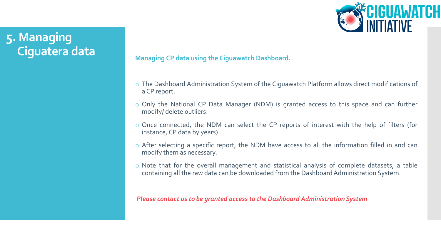# **5. Managing Ciguatera data**



**Managing CP data using the Ciguawatch Dashboard.**

- o The Dashboard Administration System of the Ciguawatch Platform allows direct modifications of a CP report.
- o Only the National CP Data Manager (NDM) is granted access to this space and can further modify/ delete outliers.
- o Once connected, the NDM can select the CP reports of interest with the help of filters (for instance, CP data by years) .
- o After selecting a specific report, the NDM have access to all the information filled in and can modify them as necessary.
- o Note that for the overall management and statistical analysis of complete datasets, a table containing all the raw data can be downloaded from the Dashboard Administration System.

*Please contact us to be granted access to the Dashboard Administration System*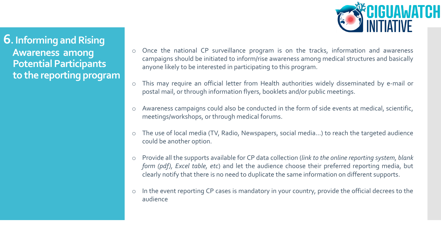

**6. Informing and Rising Awareness among Potential Participants to the reporting program**

- o Once the national CP surveillance program is on the tracks, information and awareness campaigns should be initiated to inform/rise awareness among medical structures and basically anyone likely to be interested in participating to this program.
- o This may require an official letter from Health authorities widely disseminated by e-mail or postal mail, or through information flyers, booklets and/or public meetings.
- o Awareness campaigns could also be conducted in the form of side events at medical, scientific, meetings/workshops, or through medical forums.
- o The use of local media (TV, Radio, Newspapers, social media…) to reach the targeted audience could be another option.
- o Provide all the supports available for CP data collection (*link to the online reporting system, blank form (pdf), Excel table, etc*) and let the audience choose their preferred reporting media, but clearly notify that there is no need to duplicate the same information on different supports.
- o In the event reporting CP cases is mandatory in your country, provide the official decrees to the audience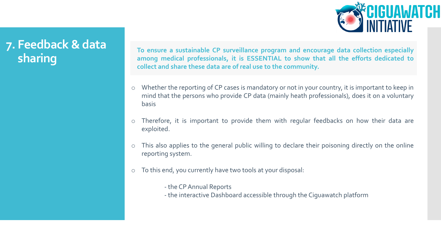

**To ensure a sustainable CP surveillance program and encourage data collection especially among medical professionals, it is ESSENTIAL to show that all the efforts dedicated to collect and share these data are of real use to the community.**

- o Whether the reporting of CP cases is mandatory or not in your country, it is important to keep in mind that the persons who provide CP data (mainly heath professionals), does it on a voluntary basis
- o Therefore, it is important to provide them with regular feedbacks on how their data are exploited.
- o This also applies to the general public willing to declare their poisoning directly on the online reporting system.
- o To this end, you currently have two tools at your disposal:
	- the CPAnnual Reports
	- the interactive Dashboard accessible through the Ciguawatch platform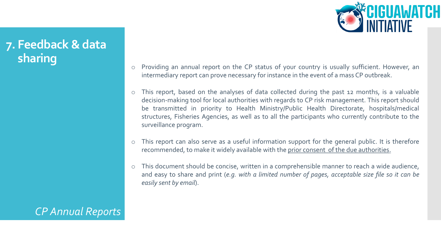

*CP Annual Reports*

- o Providing an annual report on the CP status of your country is usually sufficient. However, an intermediary report can prove necessary for instance in the event of a mass CP outbreak.
- o This report, based on the analyses of data collected during the past 12 months, is a valuable decision-making tool for local authorities with regards to CP risk management. This report should be transmitted in priority to Health Ministry/Public Health Directorate, hospitals/medical structures, Fisheries Agencies, as well as to all the participants who currently contribute to the surveillance program.
- o This report can also serve as a useful information support for the general public. It is therefore recommended, to make it widely available with the prior consent of the due authorities.
- o This document should be concise, written in a comprehensible manner to reach a wide audience, and easy to share and print (*e.g. with a limited number of pages, acceptable size file so it can be easily sent by email*).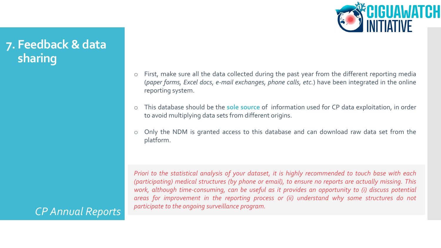

*CP Annual Reports*

o First, make sure all the data collected during the past year from the different reporting media (*paper forms, Excel docs, e-mail exchanges, phone calls, etc.*) have been integrated in the online reporting system.

- o This database should be the **sole source** of information used for CP data exploitation, in order to avoid multiplying data sets from different origins.
- o Only the NDM is granted access to this database and can download raw data set from the platform.

re *work, although time-consuming, can be useful as it provides an opportunity to (i) discuss potential Priori to the statistical analysis of your dataset, it is highly recommended to touch base with each (participating) medical structures (by phone or email), to ensure no reports are actually missing. This areas for improvement in the reporting process or (ii) understand why some structures do not participate to the ongoing surveillance program.*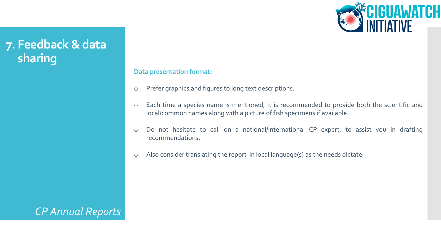

#### **Data presentation format:**

- o Prefer graphics and figures to long text descriptions.
- o Each time a species name is mentioned, it is recommended to provide both the scientific and local/common names along with a picture of fish specimens if available.
- o Do not hesitate to call on a national/international CP expert, to assist you in drafting recommendations.
- o Also consider translating the report in local language(s) as the needs dictate.

*CP Annual Reports*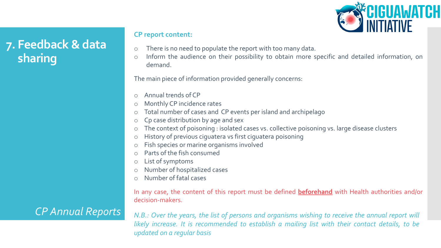

#### **CP report content:**

- o There is no need to populate the report with too many data.
- o Inform the audience on their possibility to obtain more specific and detailed information, on demand.

The main piece of information provided generally concerns:

- o Annual trends of CP
- Monthly CP incidence rates
- o Total number of cases and CP events per island and archipelago
- Cp case distribution by age and sex
- o The context of poisoning : isolated cases vs. collective poisoning vs. large disease clusters
- History of previous ciguatera vs first ciguatera poisoning
- o Fish species or marine organisms involved
- Parts of the fish consumed
- o List of symptoms
- Number of hospitalized cases
- o Number of fatal cases

In any case, the content of this report must be defined **beforehand** with Health authorities and/or decision-makers.

#### *CP Annual Reports*

*N.B.: Over the years, the list of persons and organisms wishing to receive the annual report will likely increase. It is recommended to establish a mailing list with their contact details, to be updated on a regular basis*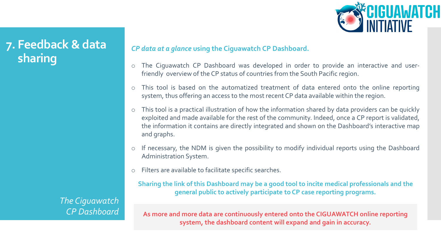

*The Ciguawatch CP Dashboard* 

#### *CP data at a glance* **using the Ciguawatch CP Dashboard.**

- o The Ciguawatch CP Dashboard was developed in order to provide an interactive and userfriendly overview of the CP status of countries from the South Pacific region.
- o This tool is based on the automatized treatment of data entered onto the online reporting system, thus offering an access to the most recent CP data available within the region.
- o This tool is a practical illustration of how the information shared by data providers can be quickly exploited and made available for the rest of the community. Indeed, once a CP report is validated, the information it contains are directly integrated and shown on the Dashboard's interactive map and graphs.
- o If necessary, the NDM is given the possibility to modify individual reports using the Dashboard Administration System.
- o Filters are available to facilitate specific searches.

**Sharing the link of this Dashboard may be a good tool to incite medical professionals and the general public to actively participate to CP case reporting programs.**

**As more and more data are continuously entered onto the CIGUAWATCH online reporting system, the dashboard content will expand and gain in accuracy.**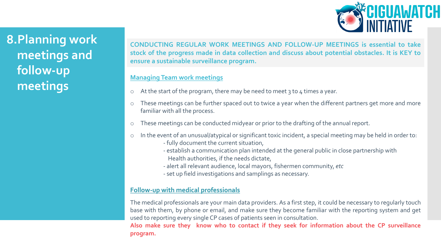

**8.Planning work meetings and follow-up meetings**

re **stock of the progress made in data collection and discuss about potential obstacles. It is KEY to CONDUCTING REGULAR WORK MEETINGS AND FOLLOW-UP MEETINGS is essential to take ensure a sustainable surveillance program.**

#### **Managing Team work meetings**

- o At the start of the program, there may be need to meet 3 to 4 times a year.
- o These meetings can be further spaced out to twice a year when the different partners get more and more familiar with all the process.
- o These meetings can be conducted midyear or prior to the drafting of the annual report.
- o In the event of an unusual/atypical or significant toxic incident, a special meeting may be held in order to:
	- fully document the current situation,
	- establish a communication plan intended at the general public in close partnership with Health authorities, if the needs dictate,
	- alert all relevant audience, local mayors, fishermen community, *etc*
	- set up field investigations and samplings as necessary.

#### **Follow-up with medical professionals**

The medical professionals are your main data providers. As a first step, it could be necessary to regularly touch base with them, by phone or email, and make sure they become familiar with the reporting system and get used to reporting every single CP cases of patients seen in consultation.

**Also make sure they know who to contact if they seek for information about the CP surveillance program.**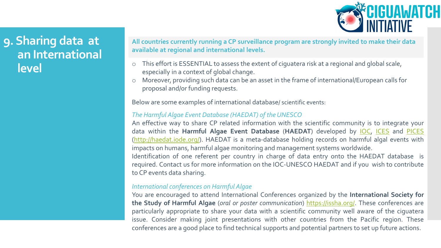

# **9. Sharing data at an International level**

**All countries currently running a CP surveillance program are strongly invited to make their data available at regional and international levels.** 

- o This effort is ESSENTIAL to assess the extent of ciguatera risk at a regional and global scale, especially in a context of global change.
- o Moreover, providing such data can be an asset in the frame of international/European calls for proposal and/or funding requests.

Below are some examples of international database/ scientific events:

#### *The Harmful Algae Event Database (HAEDAT) of the UNESCO*

An effective way to share CP related information with the scientific community is to integrate your data within the **Harmful Algae Event Database** (**HAEDAT**) developed by [IOC](https://ioc.unesco.org/), [ICES](https://www.ices.dk/) and [PICES](https://meetings.pices.int/) ([http://haedat.iode.org/\)](http://haedat.iode.org/). HAEDAT is a meta-database holding records on harmful algal events with impacts on humans, harmful algae monitoring and management systems worldwide.

Identification of one referent per country in charge of data entry onto the HAEDAT database is required. Contact us for more information on the IOC-UNESCO HAEDAT and if you wish to contribute to CP events data sharing.

#### *International conferences on Harmful Algae*

You are encouraged to attend International Conferences organized by the **International Society for the Study of Harmful Algae** (*oral or poster communication*) <https://issha.org/>. These conferences are particularly appropriate to share your data with a scientific community well aware of the ciguatera issue. Consider making joint presentations with other countries from the Pacific region. These conferences are a good place to find technical supports and potential partners to set up future actions.